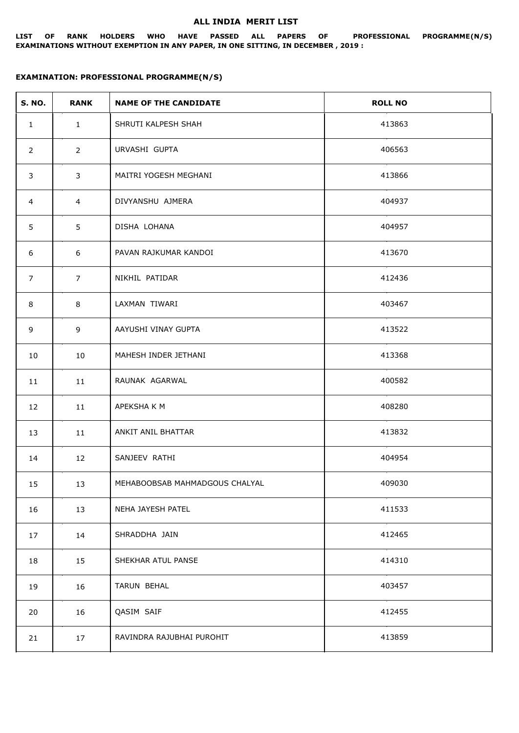## **ALL INDIA MERIT LIST**

**LIST OF RANK HOLDERS WHO HAVE PASSED ALL PAPERS OF PROFESSIONAL PROGRAMME(N/S) EXAMINATIONS WITHOUT EXEMPTION IN ANY PAPER, IN ONE SITTING, IN DECEMBER , 2019 :**

## **EXAMINATION: PROFESSIONAL PROGRAMME(N/S)**

| <b>S. NO.</b>  | <b>RANK</b>    | <b>NAME OF THE CANDIDATE</b>   | <b>ROLL NO</b> |
|----------------|----------------|--------------------------------|----------------|
| $\mathbf{1}$   | $\mathbf{1}$   | SHRUTI KALPESH SHAH            | 413863         |
| $\overline{2}$ | $\mathbf{2}$   | URVASHI GUPTA                  | 406563         |
| 3              | 3              | MAITRI YOGESH MEGHANI          | 413866         |
| 4              | $\overline{4}$ | DIVYANSHU AJMERA               | 404937         |
| 5              | 5              | DISHA LOHANA                   | 404957         |
| 6              | 6              | PAVAN RAJKUMAR KANDOI          | 413670         |
| $\overline{7}$ | $\overline{7}$ | NIKHIL PATIDAR                 | 412436         |
| 8              | 8              | LAXMAN TIWARI                  | 403467         |
| 9              | 9              | AAYUSHI VINAY GUPTA            | 413522         |
| 10             | 10             | MAHESH INDER JETHANI           | 413368         |
| 11             | 11             | RAUNAK AGARWAL                 | 400582         |
| 12             | 11             | APEKSHA K M                    | 408280         |
| 13             | 11             | ANKIT ANIL BHATTAR             | 413832         |
| 14             | 12             | SANJEEV RATHI                  | 404954         |
| 15             | 13             | MEHABOOBSAB MAHMADGOUS CHALYAL | 409030         |
| 16             | 13             | NEHA JAYESH PATEL              | 411533         |
| 17             | 14             | SHRADDHA JAIN                  | 412465         |
| 18             | 15             | SHEKHAR ATUL PANSE             | 414310         |
| 19             | 16             | TARUN BEHAL                    | 403457         |
| 20             | 16             | QASIM SAIF                     | 412455         |
| 21             | 17             | RAVINDRA RAJUBHAI PUROHIT      | 413859         |